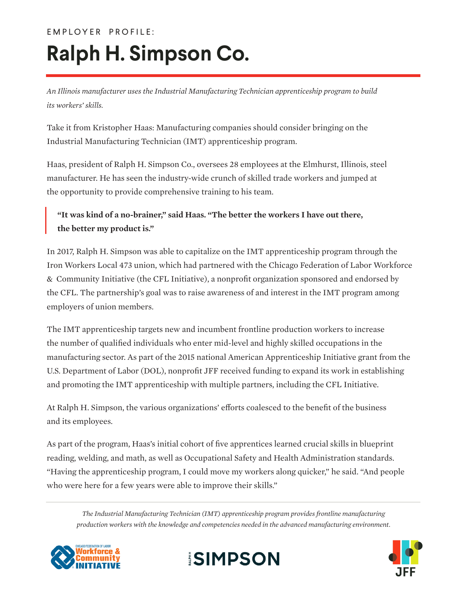## **Ralph H. Simpson Co.**

*An Illinois manufacturer uses the Industrial Manufacturing Technician apprenticeship program to build its workers' skills.*

Take it from Kristopher Haas: Manufacturing companies should consider bringing on the Industrial Manufacturing Technician (IMT) apprenticeship program.

Haas, president of Ralph H. Simpson Co., oversees 28 employees at the Elmhurst, Illinois, steel manufacturer. He has seen the industry-wide crunch of skilled trade workers and jumped at the opportunity to provide comprehensive training to his team.

## **"It was kind of a no-brainer," said Haas. "The better the workers I have out there, the better my product is."**

In 2017, Ralph H. Simpson was able to capitalize on the IMT apprenticeship program through the Iron Workers Local 473 union, which had partnered with the Chicago Federation of Labor Workforce & Community Initiative (the CFL Initiative), a nonprofit organization sponsored and endorsed by the CFL. The partnership's goal was to raise awareness of and interest in the IMT program among employers of union members.

The IMT apprenticeship targets new and incumbent frontline production workers to increase the number of qualified individuals who enter mid-level and highly skilled occupations in the manufacturing sector. As part of the 2015 national American Apprenticeship Initiative grant from the U.S. Department of Labor (DOL), nonprofit JFF received funding to expand its work in establishing and promoting the IMT apprenticeship with multiple partners, including the CFL Initiative.

At Ralph H. Simpson, the various organizations' efforts coalesced to the benefit of the business and its employees.

As part of the program, Haas's initial cohort of five apprentices learned crucial skills in blueprint reading, welding, and math, as well as Occupational Safety and Health Administration standards. "Having the apprenticeship program, I could move my workers along quicker," he said. "And people who were here for a few years were able to improve their skills."

*The Industrial Manufacturing Technician (IMT) apprenticeship program provides frontline manufacturing production workers with the knowledge and competencies needed in the advanced manufacturing environment.*